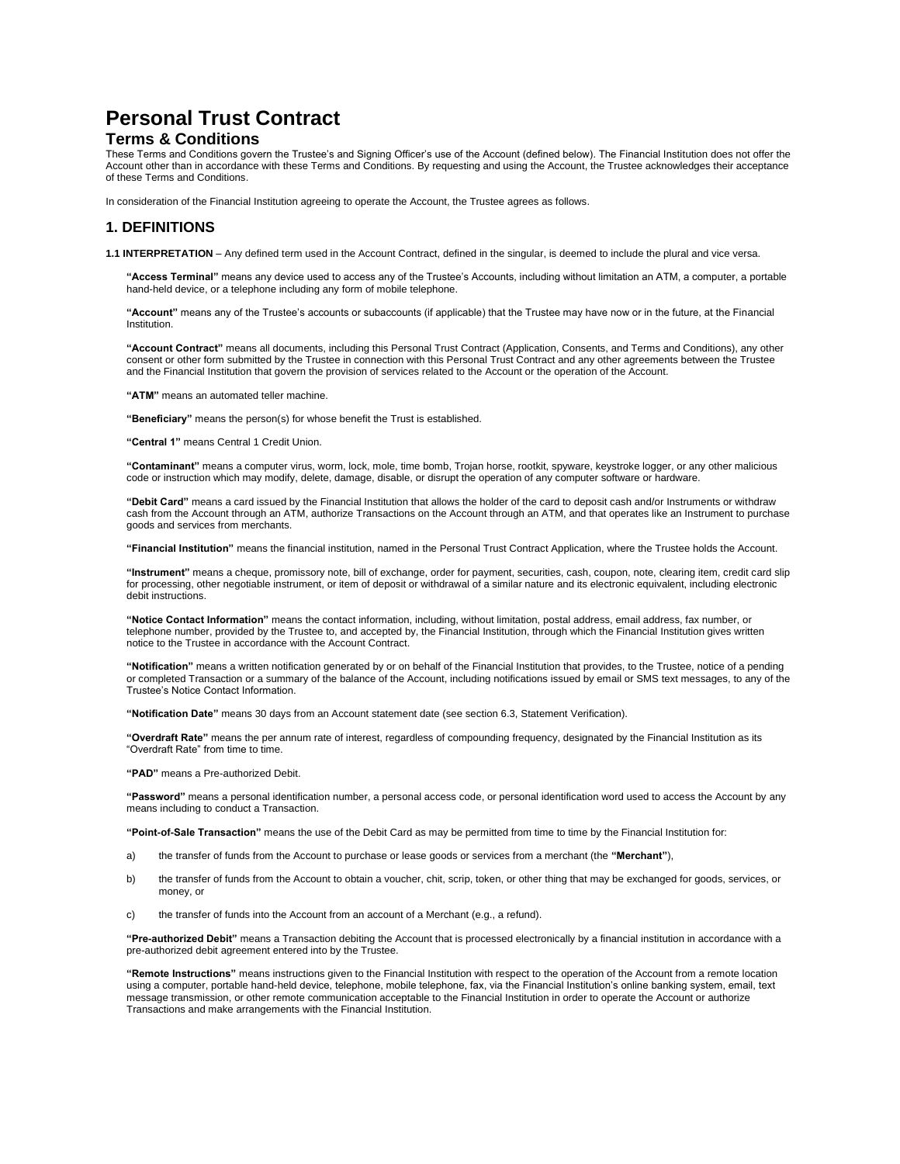# **Personal Trust Contract**

### **Terms & Conditions**

These Terms and Conditions govern the Trustee's and Signing Officer's use of the Account (defined below). The Financial Institution does not offer the Account other than in accordance with these Terms and Conditions. By requesting and using the Account, the Trustee acknowledges their acceptance of these Terms and Conditions.

In consideration of the Financial Institution agreeing to operate the Account, the Trustee agrees as follows.

## **1. DEFINITIONS**

**1.1 INTERPRETATION** – Any defined term used in the Account Contract, defined in the singular, is deemed to include the plural and vice versa.

**"Access Terminal"** means any device used to access any of the Trustee's Accounts, including without limitation an ATM, a computer, a portable hand-held device, or a telephone including any form of mobile telephone.

**"Account"** means any of the Trustee's accounts or subaccounts (if applicable) that the Trustee may have now or in the future, at the Financial Institution.

**"Account Contract"** means all documents, including this Personal Trust Contract (Application, Consents, and Terms and Conditions), any other consent or other form submitted by the Trustee in connection with this Personal Trust Contract and any other agreements between the Trustee and the Financial Institution that govern the provision of services related to the Account or the operation of the Account.

**"ATM"** means an automated teller machine.

**"Beneficiary"** means the person(s) for whose benefit the Trust is established.

**"Central 1"** means Central 1 Credit Union.

**"Contaminant"** means a computer virus, worm, lock, mole, time bomb, Trojan horse, rootkit, spyware, keystroke logger, or any other malicious code or instruction which may modify, delete, damage, disable, or disrupt the operation of any computer software or hardware.

**"Debit Card"** means a card issued by the Financial Institution that allows the holder of the card to deposit cash and/or Instruments or withdraw cash from the Account through an ATM, authorize Transactions on the Account through an ATM, and that operates like an Instrument to purchase goods and services from merchants.

**"Financial Institution"** means the financial institution, named in the Personal Trust Contract Application, where the Trustee holds the Account.

**"Instrument"** means a cheque, promissory note, bill of exchange, order for payment, securities, cash, coupon, note, clearing item, credit card slip for processing, other negotiable instrument, or item of deposit or withdrawal of a similar nature and its electronic equivalent, including electronic debit instructions.

**"Notice Contact Information"** means the contact information, including, without limitation, postal address, email address, fax number, or telephone number, provided by the Trustee to, and accepted by, the Financial Institution, through which the Financial Institution gives written notice to the Trustee in accordance with the Account Contract.

**"Notification"** means a written notification generated by or on behalf of the Financial Institution that provides, to the Trustee, notice of a pending or completed Transaction or a summary of the balance of the Account, including notifications issued by email or SMS text messages, to any of the Trustee's Notice Contact Information.

**"Notification Date"** means 30 days from an Account statement date (see section 6.3, Statement Verification).

**"Overdraft Rate"** means the per annum rate of interest, regardless of compounding frequency, designated by the Financial Institution as its "Overdraft Rate" from time to time.

**"PAD"** means a Pre-authorized Debit.

**"Password"** means a personal identification number, a personal access code, or personal identification word used to access the Account by any means including to conduct a Transaction.

**"Point-of-Sale Transaction"** means the use of the Debit Card as may be permitted from time to time by the Financial Institution for:

- a) the transfer of funds from the Account to purchase or lease goods or services from a merchant (the **"Merchant"**),
- b) the transfer of funds from the Account to obtain a voucher, chit, scrip, token, or other thing that may be exchanged for goods, services, or money, or
- c) the transfer of funds into the Account from an account of a Merchant (e.g., a refund).

**"Pre-authorized Debit"** means a Transaction debiting the Account that is processed electronically by a financial institution in accordance with a pre-authorized debit agreement entered into by the Trustee.

**"Remote Instructions"** means instructions given to the Financial Institution with respect to the operation of the Account from a remote location using a computer, portable hand-held device, telephone, mobile telephone, fax, via the Financial Institution's online banking system, email, text message transmission, or other remote communication acceptable to the Financial Institution in order to operate the Account or authorize Transactions and make arrangements with the Financial Institution.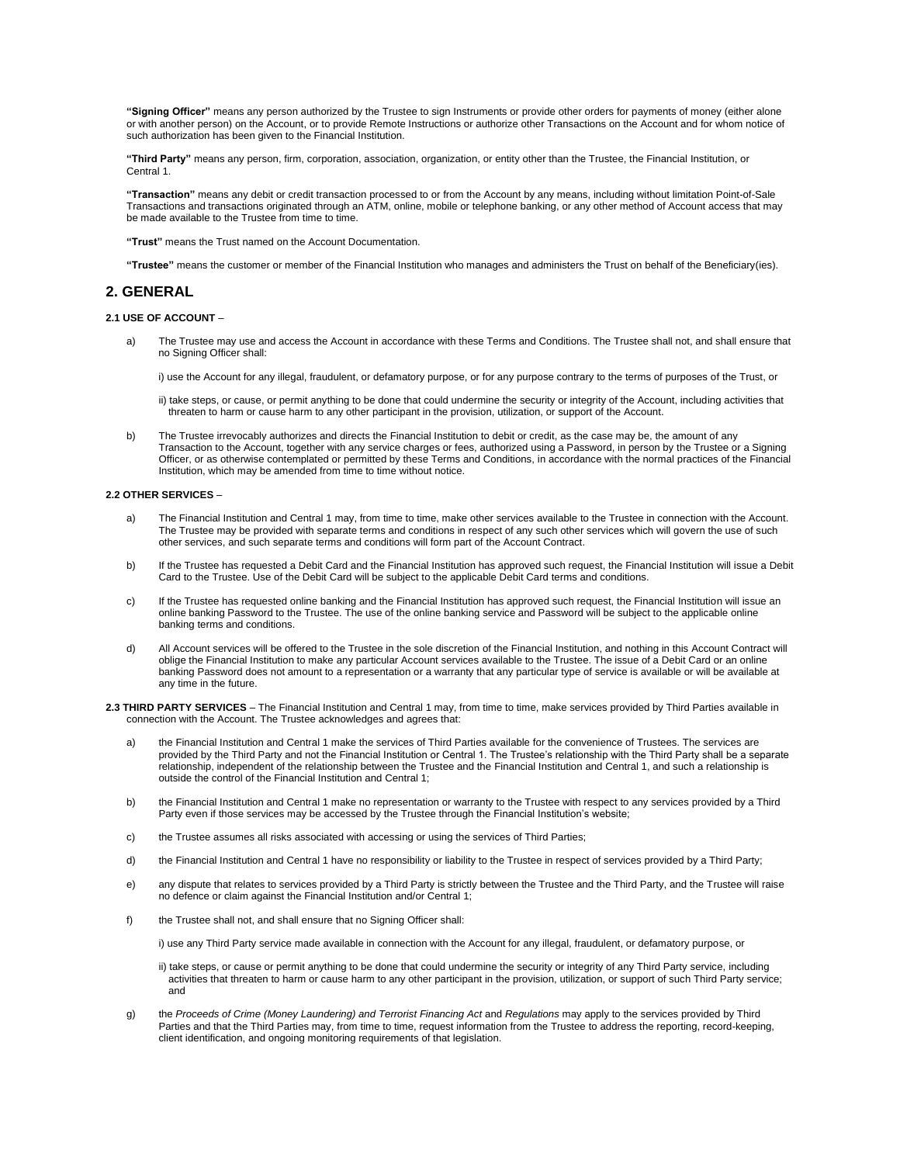**"Signing Officer"** means any person authorized by the Trustee to sign Instruments or provide other orders for payments of money (either alone or with another person) on the Account, or to provide Remote Instructions or authorize other Transactions on the Account and for whom notice of such authorization has been given to the Financial Institution.

**"Third Party"** means any person, firm, corporation, association, organization, or entity other than the Trustee, the Financial Institution, or Central 1.

**"Transaction"** means any debit or credit transaction processed to or from the Account by any means, including without limitation Point-of-Sale Transactions and transactions originated through an ATM, online, mobile or telephone banking, or any other method of Account access that may be made available to the Trustee from time to time.

**"Trust"** means the Trust named on the Account Documentation.

**"Trustee"** means the customer or member of the Financial Institution who manages and administers the Trust on behalf of the Beneficiary(ies).

### **2. GENERAL**

#### **2.1 USE OF ACCOUNT** –

a) The Trustee may use and access the Account in accordance with these Terms and Conditions. The Trustee shall not, and shall ensure that no Signing Officer shall:

i) use the Account for any illegal, fraudulent, or defamatory purpose, or for any purpose contrary to the terms of purposes of the Trust, or

ii) take steps, or cause, or permit anything to be done that could undermine the security or integrity of the Account, including activities that threaten to harm or cause harm to any other participant in the provision, utilization, or support of the Account.

b) The Trustee irrevocably authorizes and directs the Financial Institution to debit or credit, as the case may be, the amount of any Transaction to the Account, together with any service charges or fees, authorized using a Password, in person by the Trustee or a Signing Officer, or as otherwise contemplated or permitted by these Terms and Conditions, in accordance with the normal practices of the Financial Institution, which may be amended from time to time without notice.

#### **2.2 OTHER SERVICES** –

- a) The Financial Institution and Central 1 may, from time to time, make other services available to the Trustee in connection with the Account. The Trustee may be provided with separate terms and conditions in respect of any such other services which will govern the use of such other services, and such separate terms and conditions will form part of the Account Contract.
- b) If the Trustee has requested a Debit Card and the Financial Institution has approved such request, the Financial Institution will issue a Debit Card to the Trustee. Use of the Debit Card will be subject to the applicable Debit Card terms and conditions.
- c) If the Trustee has requested online banking and the Financial Institution has approved such request, the Financial Institution will issue an online banking Password to the Trustee. The use of the online banking service and Password will be subject to the applicable online banking terms and conditions.
- d) All Account services will be offered to the Trustee in the sole discretion of the Financial Institution, and nothing in this Account Contract will oblige the Financial Institution to make any particular Account services available to the Trustee. The issue of a Debit Card or an online banking Password does not amount to a representation or a warranty that any particular type of service is available or will be available at any time in the future.
- **2.3 THIRD PARTY SERVICES**  The Financial Institution and Central 1 may, from time to time, make services provided by Third Parties available in connection with the Account. The Trustee acknowledges and agrees that:
	- a) the Financial Institution and Central 1 make the services of Third Parties available for the convenience of Trustees. The services are provided by the Third Party and not the Financial Institution or Central 1. The Trustee's relationship with the Third Party shall be a separate relationship, independent of the relationship between the Trustee and the Financial Institution and Central 1, and such a relationship is outside the control of the Financial Institution and Central 1;
	- b) the Financial Institution and Central 1 make no representation or warranty to the Trustee with respect to any services provided by a Third Party even if those services may be accessed by the Trustee through the Financial Institution's website;
	- c) the Trustee assumes all risks associated with accessing or using the services of Third Parties;
	- d) the Financial Institution and Central 1 have no responsibility or liability to the Trustee in respect of services provided by a Third Party;
	- e) any dispute that relates to services provided by a Third Party is strictly between the Trustee and the Third Party, and the Trustee will raise no defence or claim against the Financial Institution and/or Central 1;
	- f) the Trustee shall not, and shall ensure that no Signing Officer shall:

i) use any Third Party service made available in connection with the Account for any illegal, fraudulent, or defamatory purpose, or

- ii) take steps, or cause or permit anything to be done that could undermine the security or integrity of any Third Party service, including activities that threaten to harm or cause harm to any other participant in the provision, utilization, or support of such Third Party service; and
- g) the *Proceeds of Crime (Money Laundering) and Terrorist Financing Act and <i>Regulations* may apply to the services provided by Third Parties and that the Third Parties may, from time to time, request information from the Trustee to address the reporting, record-keeping, client identification, and ongoing monitoring requirements of that legislation.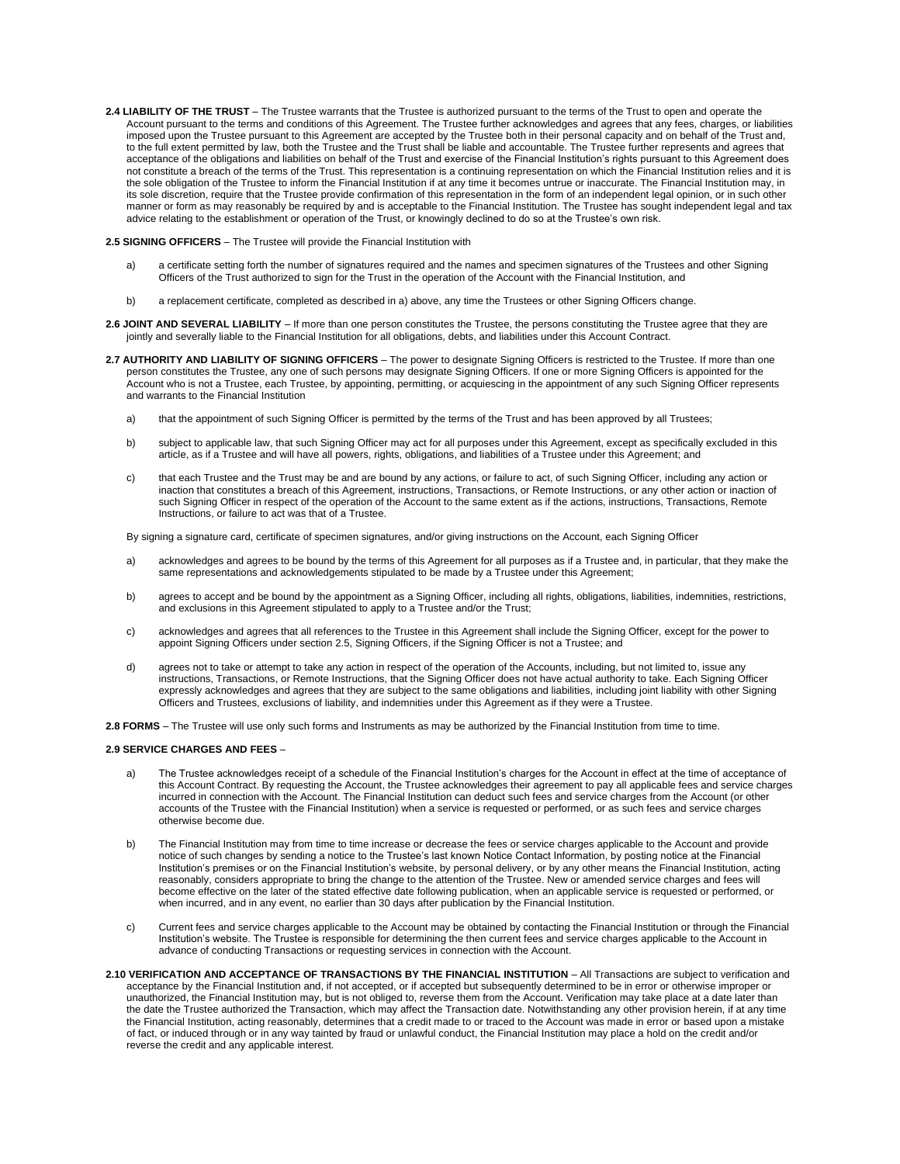2.4 LIABILITY OF THE TRUST - The Trustee warrants that the Trustee is authorized pursuant to the terms of the Trust to open and operate the Account pursuant to the terms and conditions of this Agreement. The Trustee further acknowledges and agrees that any fees, charges, or liabilities imposed upon the Trustee pursuant to this Agreement are accepted by the Trustee both in their personal capacity and on behalf of the Trust and, to the full extent permitted by law, both the Trustee and the Trust shall be liable and accountable. The Trustee further represents and agrees that acceptance of the obligations and liabilities on behalf of the Trust and exercise of the Financial Institution's rights pursuant to this Agreement does not constitute a breach of the terms of the Trust. This representation is a continuing representation on which the Financial Institution relies and it is the sole obligation of the Trustee to inform the Financial Institution if at any time it becomes untrue or inaccurate. The Financial Institution may, in its sole discretion, require that the Trustee provide confirmation of this representation in the form of an independent legal opinion, or in such other manner or form as may reasonably be required by and is acceptable to the Financial Institution. The Trustee has sought independent legal and tax advice relating to the establishment or operation of the Trust, or knowingly declined to do so at the Trustee's own risk.

#### **2.5 SIGNING OFFICERS** – The Trustee will provide the Financial Institution with

- a) a certificate setting forth the number of signatures required and the names and specimen signatures of the Trustees and other Signing Officers of the Trust authorized to sign for the Trust in the operation of the Account with the Financial Institution, and
- b) a replacement certificate, completed as described in a) above, any time the Trustees or other Signing Officers change.
- **2.6 JOINT AND SEVERAL LIABILITY**  If more than one person constitutes the Trustee, the persons constituting the Trustee agree that they are jointly and severally liable to the Financial Institution for all obligations, debts, and liabilities under this Account Contract.
- **2.7 AUTHORITY AND LIABILITY OF SIGNING OFFICERS**  The power to designate Signing Officers is restricted to the Trustee. If more than one person constitutes the Trustee, any one of such persons may designate Signing Officers. If one or more Signing Officers is appointed for the Account who is not a Trustee, each Trustee, by appointing, permitting, or acquiescing in the appointment of any such Signing Officer represents and warrants to the Financial Institution
	- a) that the appointment of such Signing Officer is permitted by the terms of the Trust and has been approved by all Trustees;
	- b) subject to applicable law, that such Signing Officer may act for all purposes under this Agreement, except as specifically excluded in this article, as if a Trustee and will have all powers, rights, obligations, and liabilities of a Trustee under this Agreement; and
	- c) that each Trustee and the Trust may be and are bound by any actions, or failure to act, of such Signing Officer, including any action or inaction that constitutes a breach of this Agreement, instructions, Transactions, or Remote Instructions, or any other action or inaction of such Signing Officer in respect of the operation of the Account to the same extent as if the actions, instructions, Transactions, Remote Instructions, or failure to act was that of a Trustee.

By signing a signature card, certificate of specimen signatures, and/or giving instructions on the Account, each Signing Officer

- a) acknowledges and agrees to be bound by the terms of this Agreement for all purposes as if a Trustee and, in particular, that they make the same representations and acknowledgements stipulated to be made by a Trustee under this Agreement;
- b) agrees to accept and be bound by the appointment as a Signing Officer, including all rights, obligations, liabilities, indemnities, restrictions, and exclusions in this Agreement stipulated to apply to a Trustee and/or the Trust;
- c) acknowledges and agrees that all references to the Trustee in this Agreement shall include the Signing Officer, except for the power to appoint Signing Officers under section 2.5, Signing Officers, if the Signing Officer is not a Trustee; and
- d) agrees not to take or attempt to take any action in respect of the operation of the Accounts, including, but not limited to, issue any instructions, Transactions, or Remote Instructions, that the Signing Officer does not have actual authority to take. Each Signing Officer expressly acknowledges and agrees that they are subject to the same obligations and liabilities, including joint liability with other Signing Officers and Trustees, exclusions of liability, and indemnities under this Agreement as if they were a Trustee.

**2.8 FORMS** – The Trustee will use only such forms and Instruments as may be authorized by the Financial Institution from time to time.

#### **2.9 SERVICE CHARGES AND FEES** –

- a) The Trustee acknowledges receipt of a schedule of the Financial Institution's charges for the Account in effect at the time of acceptance of this Account Contract. By requesting the Account, the Trustee acknowledges their agreement to pay all applicable fees and service charges incurred in connection with the Account. The Financial Institution can deduct such fees and service charges from the Account (or other accounts of the Trustee with the Financial Institution) when a service is requested or performed, or as such fees and service charges otherwise become due.
- b) The Financial Institution may from time to time increase or decrease the fees or service charges applicable to the Account and provide notice of such changes by sending a notice to the Trustee's last known Notice Contact Information, by posting notice at the Financial Institution's premises or on the Financial Institution's website, by personal delivery, or by any other means the Financial Institution, acting reasonably, considers appropriate to bring the change to the attention of the Trustee. New or amended service charges and fees will become effective on the later of the stated effective date following publication, when an applicable service is requested or performed, or when incurred, and in any event, no earlier than 30 days after publication by the Financial Institution.
- c) Current fees and service charges applicable to the Account may be obtained by contacting the Financial Institution or through the Financial Institution's website. The Trustee is responsible for determining the then current fees and service charges applicable to the Account in advance of conducting Transactions or requesting services in connection with the Account.
- 2.10 VERIFICATION AND ACCEPTANCE OF TRANSACTIONS BY THE FINANCIAL INSTITUTION All Transactions are subject to verification and acceptance by the Financial Institution and, if not accepted, or if accepted but subsequently determined to be in error or otherwise improper or unauthorized, the Financial Institution may, but is not obliged to, reverse them from the Account. Verification may take place at a date later than the date the Trustee authorized the Transaction, which may affect the Transaction date. Notwithstanding any other provision herein, if at any time the Financial Institution, acting reasonably, determines that a credit made to or traced to the Account was made in error or based upon a mistake of fact, or induced through or in any way tainted by fraud or unlawful conduct, the Financial Institution may place a hold on the credit and/or reverse the credit and any applicable interest.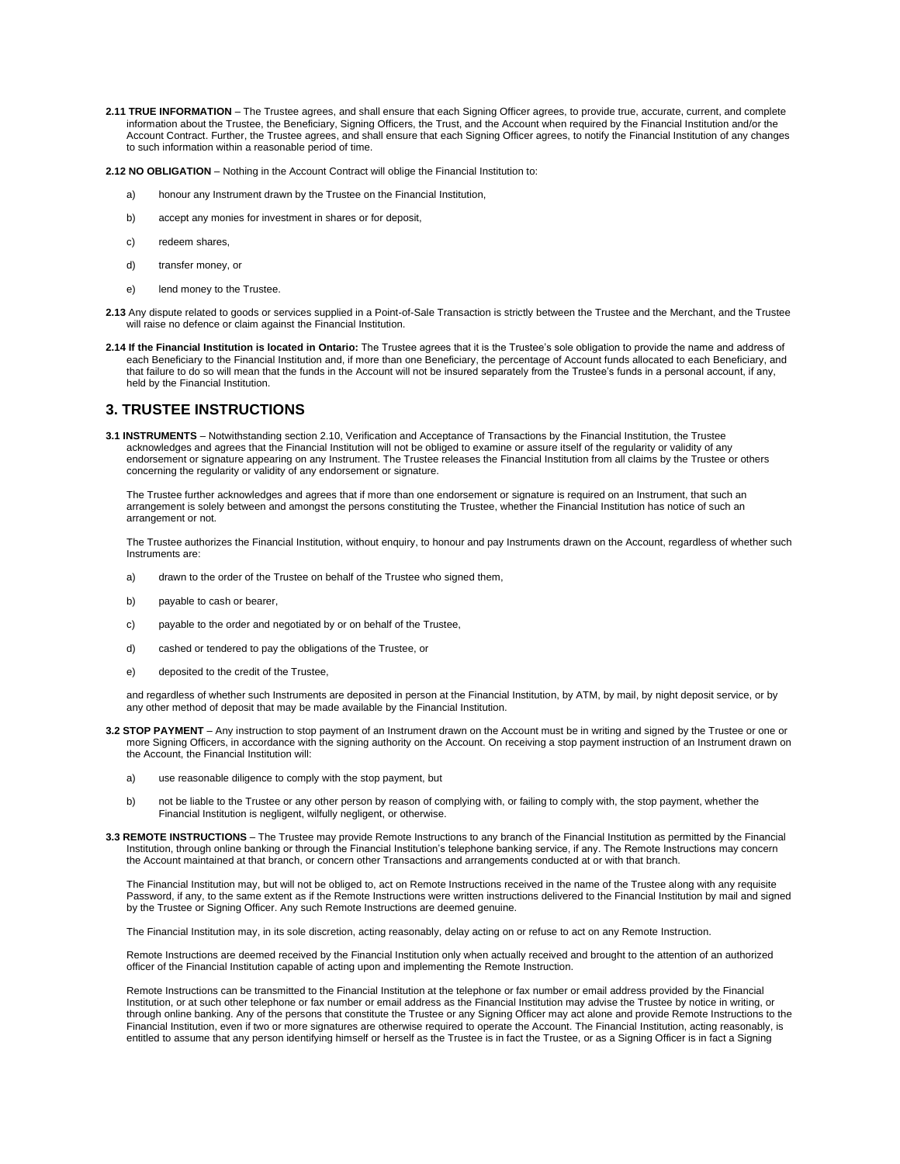2.11 TRUE INFORMATION - The Trustee agrees, and shall ensure that each Signing Officer agrees, to provide true, accurate, current, and complete information about the Trustee, the Beneficiary, Signing Officers, the Trust, and the Account when required by the Financial Institution and/or the Account Contract. Further, the Trustee agrees, and shall ensure that each Signing Officer agrees, to notify the Financial Institution of any changes to such information within a reasonable period of time.

**2.12 NO OBLIGATION** – Nothing in the Account Contract will oblige the Financial Institution to:

- a) honour any Instrument drawn by the Trustee on the Financial Institution,
- b) accept any monies for investment in shares or for deposit,
- c) redeem shares,
- d) transfer money, or
- e) lend money to the Trustee.
- **2.13** Any dispute related to goods or services supplied in a Point-of-Sale Transaction is strictly between the Trustee and the Merchant, and the Trustee will raise no defence or claim against the Financial Institution.
- **2.14 If the Financial Institution is located in Ontario:** The Trustee agrees that it is the Trustee's sole obligation to provide the name and address of each Beneficiary to the Financial Institution and, if more than one Beneficiary, the percentage of Account funds allocated to each Beneficiary, and that failure to do so will mean that the funds in the Account will not be insured separately from the Trustee's funds in a personal account, if any, held by the Financial Institution.

### **3. TRUSTEE INSTRUCTIONS**

**3.1 INSTRUMENTS** – Notwithstanding section 2.10, Verification and Acceptance of Transactions by the Financial Institution, the Trustee acknowledges and agrees that the Financial Institution will not be obliged to examine or assure itself of the regularity or validity of any endorsement or signature appearing on any Instrument. The Trustee releases the Financial Institution from all claims by the Trustee or others concerning the regularity or validity of any endorsement or signature.

The Trustee further acknowledges and agrees that if more than one endorsement or signature is required on an Instrument, that such an arrangement is solely between and amongst the persons constituting the Trustee, whether the Financial Institution has notice of such an arrangement or not.

The Trustee authorizes the Financial Institution, without enquiry, to honour and pay Instruments drawn on the Account, regardless of whether such Instruments are:

- a) drawn to the order of the Trustee on behalf of the Trustee who signed them,
- b) payable to cash or bearer,
- c) payable to the order and negotiated by or on behalf of the Trustee,
- d) cashed or tendered to pay the obligations of the Trustee, or
- e) deposited to the credit of the Trustee,

and regardless of whether such Instruments are deposited in person at the Financial Institution, by ATM, by mail, by night deposit service, or by any other method of deposit that may be made available by the Financial Institution.

- **3.2 STOP PAYMENT**  Any instruction to stop payment of an Instrument drawn on the Account must be in writing and signed by the Trustee or one or more Signing Officers, in accordance with the signing authority on the Account. On receiving a stop payment instruction of an Instrument drawn on the Account, the Financial Institution will:
	- a) use reasonable diligence to comply with the stop payment, but
	- b) not be liable to the Trustee or any other person by reason of complying with, or failing to comply with, the stop payment, whether the Financial Institution is negligent, wilfully negligent, or otherwise.
- **3.3 REMOTE INSTRUCTIONS**  The Trustee may provide Remote Instructions to any branch of the Financial Institution as permitted by the Financial Institution, through online banking or through the Financial Institution's telephone banking service, if any. The Remote Instructions may concern the Account maintained at that branch, or concern other Transactions and arrangements conducted at or with that branch.

The Financial Institution may, but will not be obliged to, act on Remote Instructions received in the name of the Trustee along with any requisite Password, if any, to the same extent as if the Remote Instructions were written instructions delivered to the Financial Institution by mail and signed by the Trustee or Signing Officer. Any such Remote Instructions are deemed genuine.

The Financial Institution may, in its sole discretion, acting reasonably, delay acting on or refuse to act on any Remote Instruction.

Remote Instructions are deemed received by the Financial Institution only when actually received and brought to the attention of an authorized officer of the Financial Institution capable of acting upon and implementing the Remote Instruction.

Remote Instructions can be transmitted to the Financial Institution at the telephone or fax number or email address provided by the Financial Institution, or at such other telephone or fax number or email address as the Financial Institution may advise the Trustee by notice in writing, or through online banking. Any of the persons that constitute the Trustee or any Signing Officer may act alone and provide Remote Instructions to the Financial Institution, even if two or more signatures are otherwise required to operate the Account. The Financial Institution, acting reasonably, is entitled to assume that any person identifying himself or herself as the Trustee is in fact the Trustee, or as a Signing Officer is in fact a Signing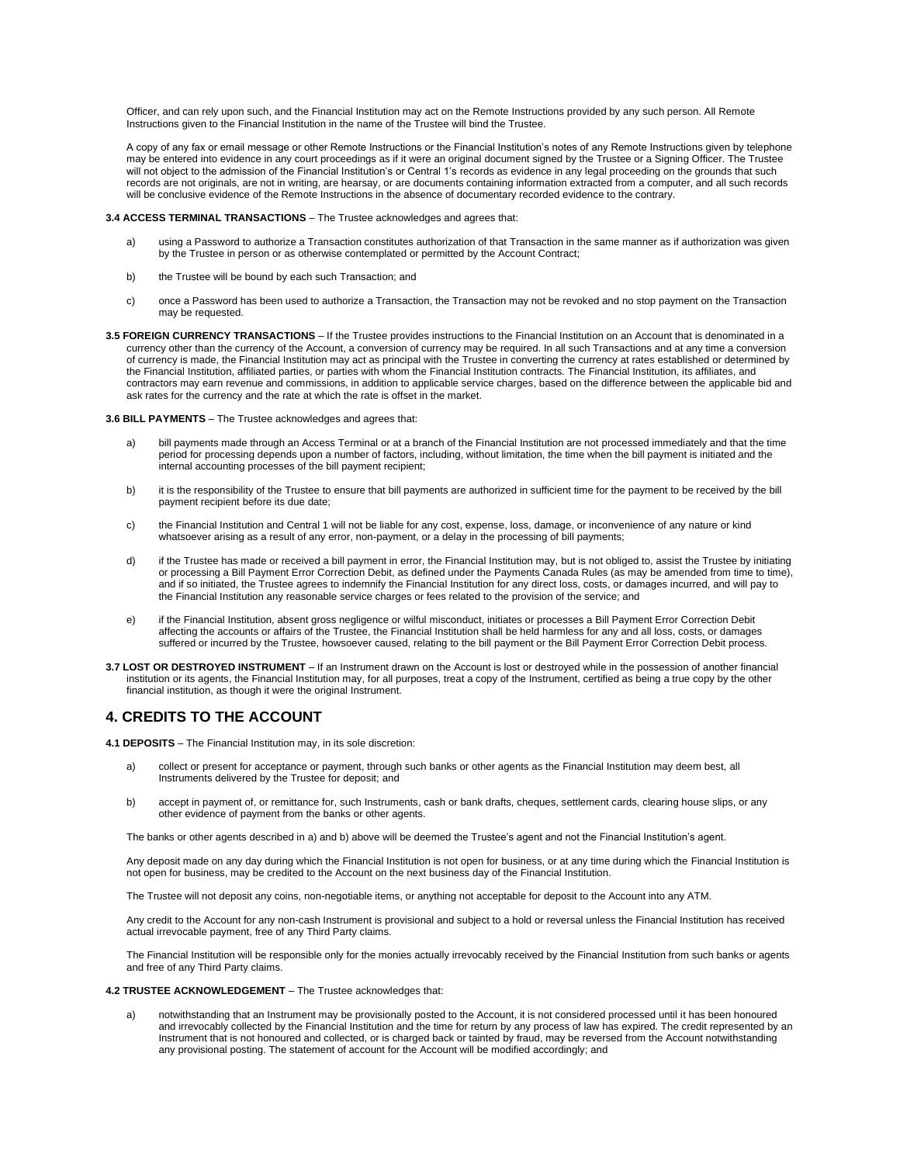Officer, and can rely upon such, and the Financial Institution may act on the Remote Instructions provided by any such person. All Remote Instructions given to the Financial Institution in the name of the Trustee will bind the Trustee.

A copy of any fax or email message or other Remote Instructions or the Financial Institution's notes of any Remote Instructions given by telephone may be entered into evidence in any court proceedings as if it were an original document signed by the Trustee or a Signing Officer. The Trustee will not object to the admission of the Financial Institution's or Central 1's records as evidence in any legal proceeding on the grounds that such records are not originals, are not in writing, are hearsay, or are documents containing information extracted from a computer, and all such records will be conclusive evidence of the Remote Instructions in the absence of documentary recorded evidence to the contrary.

#### **3.4 ACCESS TERMINAL TRANSACTIONS** – The Trustee acknowledges and agrees that:

- a) using a Password to authorize a Transaction constitutes authorization of that Transaction in the same manner as if authorization was given by the Trustee in person or as otherwise contemplated or permitted by the Account Contract;
- b) the Trustee will be bound by each such Transaction; and
- c) once a Password has been used to authorize a Transaction, the Transaction may not be revoked and no stop payment on the Transaction may be requested.
- **3.5 FOREIGN CURRENCY TRANSACTIONS**  If the Trustee provides instructions to the Financial Institution on an Account that is denominated in a currency other than the currency of the Account, a conversion of currency may be required. In all such Transactions and at any time a conversion of currency is made, the Financial Institution may act as principal with the Trustee in converting the currency at rates established or determined by the Financial Institution, affiliated parties, or parties with whom the Financial Institution contracts. The Financial Institution, its affiliates, and contractors may earn revenue and commissions, in addition to applicable service charges, based on the difference between the applicable bid and ask rates for the currency and the rate at which the rate is offset in the market.

#### **3.6 BILL PAYMENTS** – The Trustee acknowledges and agrees that:

- a) bill payments made through an Access Terminal or at a branch of the Financial Institution are not processed immediately and that the time period for processing depends upon a number of factors, including, without limitation, the time when the bill payment is initiated and the internal accounting processes of the bill payment recipient;
- b) it is the responsibility of the Trustee to ensure that bill payments are authorized in sufficient time for the payment to be received by the bill payment recipient before its due date;
- c) the Financial Institution and Central 1 will not be liable for any cost, expense, loss, damage, or inconvenience of any nature or kind whatsoever arising as a result of any error, non-payment, or a delay in the processing of bill payments;
- d) if the Trustee has made or received a bill payment in error, the Financial Institution may, but is not obliged to, assist the Trustee by initiating or processing a Bill Payment Error Correction Debit, as defined under the Payments Canada Rules (as may be amended from time to time), and if so initiated, the Trustee agrees to indemnify the Financial Institution for any direct loss, costs, or damages incurred, and will pay to the Financial Institution any reasonable service charges or fees related to the provision of the service; and
- e) if the Financial Institution, absent gross negligence or wilful misconduct, initiates or processes a Bill Payment Error Correction Debit affecting the accounts or affairs of the Trustee, the Financial Institution shall be held harmless for any and all loss, costs, or damages suffered or incurred by the Trustee, howsoever caused, relating to the bill payment or the Bill Payment Error Correction Debit process.
- **3.7 LOST OR DESTROYED INSTRUMENT**  If an Instrument drawn on the Account is lost or destroyed while in the possession of another financial institution or its agents, the Financial Institution may, for all purposes, treat a copy of the Instrument, certified as being a true copy by the other financial institution, as though it were the original Instrument.

# **4. CREDITS TO THE ACCOUNT**

**4.1 DEPOSITS** – The Financial Institution may, in its sole discretion:

- a) collect or present for acceptance or payment, through such banks or other agents as the Financial Institution may deem best, all Instruments delivered by the Trustee for deposit; and
- b) accept in payment of, or remittance for, such Instruments, cash or bank drafts, cheques, settlement cards, clearing house slips, or any other evidence of payment from the banks or other agents.

The banks or other agents described in a) and b) above will be deemed the Trustee's agent and not the Financial Institution's agent.

Any deposit made on any day during which the Financial Institution is not open for business, or at any time during which the Financial Institution is not open for business, may be credited to the Account on the next business day of the Financial Institution.

The Trustee will not deposit any coins, non-negotiable items, or anything not acceptable for deposit to the Account into any ATM.

Any credit to the Account for any non-cash Instrument is provisional and subject to a hold or reversal unless the Financial Institution has received actual irrevocable payment, free of any Third Party claims.

The Financial Institution will be responsible only for the monies actually irrevocably received by the Financial Institution from such banks or agents and free of any Third Party claims.

#### **4.2 TRUSTEE ACKNOWLEDGEMENT** – The Trustee acknowledges that:

a) notwithstanding that an Instrument may be provisionally posted to the Account, it is not considered processed until it has been honoured and irrevocably collected by the Financial Institution and the time for return by any process of law has expired. The credit represented by an Instrument that is not honoured and collected, or is charged back or tainted by fraud, may be reversed from the Account notwithstanding any provisional posting. The statement of account for the Account will be modified accordingly; and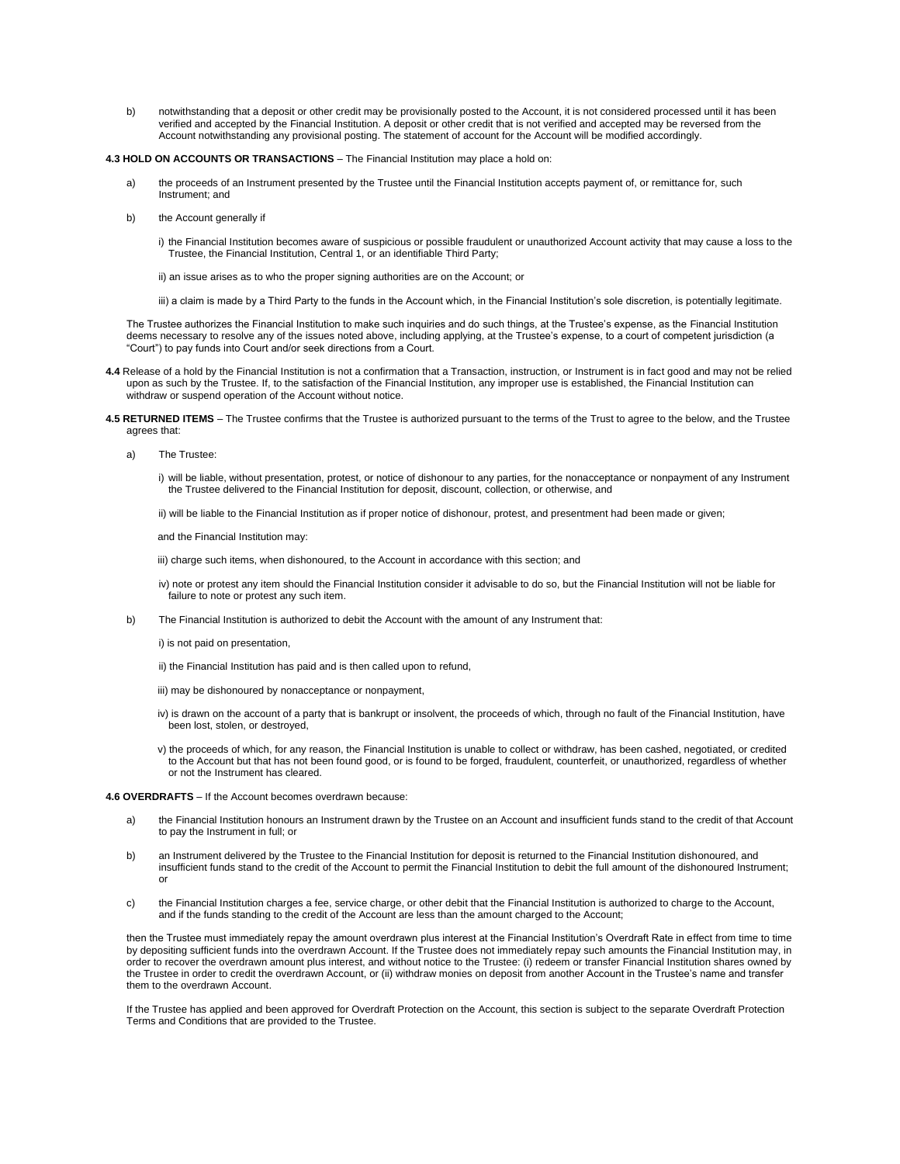b) notwithstanding that a deposit or other credit may be provisionally posted to the Account, it is not considered processed until it has been verified and accepted by the Financial Institution. A deposit or other credit that is not verified and accepted may be reversed from the Account notwithstanding any provisional posting. The statement of account for the Account will be modified accordingly.

#### **4.3 HOLD ON ACCOUNTS OR TRANSACTIONS** – The Financial Institution may place a hold on:

- the proceeds of an Instrument presented by the Trustee until the Financial Institution accepts payment of, or remittance for, such Instrument; and
- b) the Account generally if
	- i) the Financial Institution becomes aware of suspicious or possible fraudulent or unauthorized Account activity that may cause a loss to the Trustee, the Financial Institution, Central 1, or an identifiable Third Party;
	- ii) an issue arises as to who the proper signing authorities are on the Account; or
	- iii) a claim is made by a Third Party to the funds in the Account which, in the Financial Institution's sole discretion, is potentially legitimate.

The Trustee authorizes the Financial Institution to make such inquiries and do such things, at the Trustee's expense, as the Financial Institution deems necessary to resolve any of the issues noted above, including applying, at the Trustee's expense, to a court of competent jurisdiction (a "Court") to pay funds into Court and/or seek directions from a Court.

- **4.4** Release of a hold by the Financial Institution is not a confirmation that a Transaction, instruction, or Instrument is in fact good and may not be relied upon as such by the Trustee. If, to the satisfaction of the Financial Institution, any improper use is established, the Financial Institution can withdraw or suspend operation of the Account without notice.
- **4.5 RETURNED ITEMS**  The Trustee confirms that the Trustee is authorized pursuant to the terms of the Trust to agree to the below, and the Trustee agrees that:
	- a) The Trustee:
		- i) will be liable, without presentation, protest, or notice of dishonour to any parties, for the nonacceptance or nonpayment of any Instrument the Trustee delivered to the Financial Institution for deposit, discount, collection, or otherwise, and
		- ii) will be liable to the Financial Institution as if proper notice of dishonour, protest, and presentment had been made or given;

and the Financial Institution may:

iii) charge such items, when dishonoured, to the Account in accordance with this section; and

- iv) note or protest any item should the Financial Institution consider it advisable to do so, but the Financial Institution will not be liable for failure to note or protest any such item.
- b) The Financial Institution is authorized to debit the Account with the amount of any Instrument that:
	- i) is not paid on presentation,
	- ii) the Financial Institution has paid and is then called upon to refund,
	- iii) may be dishonoured by nonacceptance or nonpayment,
	- iv) is drawn on the account of a party that is bankrupt or insolvent, the proceeds of which, through no fault of the Financial Institution, have been lost, stolen, or destroyed,
	- v) the proceeds of which, for any reason, the Financial Institution is unable to collect or withdraw, has been cashed, negotiated, or credited to the Account but that has not been found good, or is found to be forged, fraudulent, counterfeit, or unauthorized, regardless of whether or not the Instrument has cleared.

#### **4.6 OVERDRAFTS** – If the Account becomes overdrawn because:

- a) the Financial Institution honours an Instrument drawn by the Trustee on an Account and insufficient funds stand to the credit of that Account to pay the Instrument in full; or
- b) an Instrument delivered by the Trustee to the Financial Institution for deposit is returned to the Financial Institution dishonoured, and insufficient funds stand to the credit of the Account to permit the Financial Institution to debit the full amount of the dishonoured Instrument; or
- c) the Financial Institution charges a fee, service charge, or other debit that the Financial Institution is authorized to charge to the Account, and if the funds standing to the credit of the Account are less than the amount charged to the Account;

then the Trustee must immediately repay the amount overdrawn plus interest at the Financial Institution's Overdraft Rate in effect from time to time by depositing sufficient funds into the overdrawn Account. If the Trustee does not immediately repay such amounts the Financial Institution may, in order to recover the overdrawn amount plus interest, and without notice to the Trustee: (i) redeem or transfer Financial Institution shares owned by the Trustee in order to credit the overdrawn Account, or (ii) withdraw monies on deposit from another Account in the Trustee's name and transfer them to the overdrawn Account.

If the Trustee has applied and been approved for Overdraft Protection on the Account, this section is subject to the separate Overdraft Protection Terms and Conditions that are provided to the Trustee.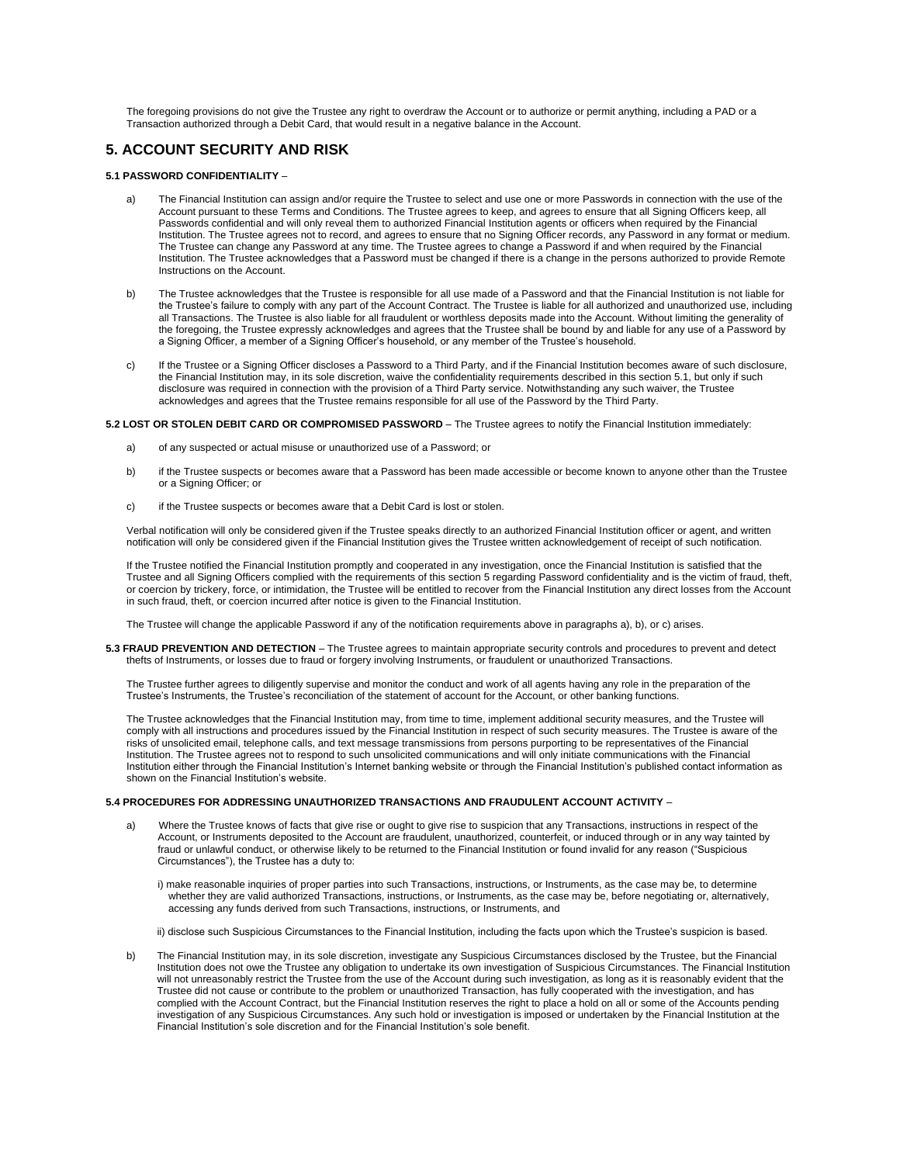The foregoing provisions do not give the Trustee any right to overdraw the Account or to authorize or permit anything, including a PAD or a Transaction authorized through a Debit Card, that would result in a negative balance in the Account.

# **5. ACCOUNT SECURITY AND RISK**

#### **5.1 PASSWORD CONFIDENTIALITY** –

- a) The Financial Institution can assign and/or require the Trustee to select and use one or more Passwords in connection with the use of the Account pursuant to these Terms and Conditions. The Trustee agrees to keep, and agrees to ensure that all Signing Officers keep, all Passwords confidential and will only reveal them to authorized Financial Institution agents or officers when required by the Financial Institution. The Trustee agrees not to record, and agrees to ensure that no Signing Officer records, any Password in any format or medium. The Trustee can change any Password at any time. The Trustee agrees to change a Password if and when required by the Financial Institution. The Trustee acknowledges that a Password must be changed if there is a change in the persons authorized to provide Remote Instructions on the Account.
- b) The Trustee acknowledges that the Trustee is responsible for all use made of a Password and that the Financial Institution is not liable for the Trustee's failure to comply with any part of the Account Contract. The Trustee is liable for all authorized and unauthorized use, including all Transactions. The Trustee is also liable for all fraudulent or worthless deposits made into the Account. Without limiting the generality of the foregoing, the Trustee expressly acknowledges and agrees that the Trustee shall be bound by and liable for any use of a Password by a Signing Officer, a member of a Signing Officer's household, or any member of the Trustee's household.
- c) If the Trustee or a Signing Officer discloses a Password to a Third Party, and if the Financial Institution becomes aware of such disclosure, the Financial Institution may, in its sole discretion, waive the confidentiality requirements described in this section 5.1, but only if such disclosure was required in connection with the provision of a Third Party service. Notwithstanding any such waiver, the Trustee acknowledges and agrees that the Trustee remains responsible for all use of the Password by the Third Party.

#### **5.2 LOST OR STOLEN DEBIT CARD OR COMPROMISED PASSWORD** – The Trustee agrees to notify the Financial Institution immediately:

- a) of any suspected or actual misuse or unauthorized use of a Password; or
- b) if the Trustee suspects or becomes aware that a Password has been made accessible or become known to anyone other than the Trustee or a Signing Officer; or
- c) if the Trustee suspects or becomes aware that a Debit Card is lost or stolen.

Verbal notification will only be considered given if the Trustee speaks directly to an authorized Financial Institution officer or agent, and written notification will only be considered given if the Financial Institution gives the Trustee written acknowledgement of receipt of such notification.

If the Trustee notified the Financial Institution promptly and cooperated in any investigation, once the Financial Institution is satisfied that the Trustee and all Signing Officers complied with the requirements of this section 5 regarding Password confidentiality and is the victim of fraud, theft, or coercion by trickery, force, or intimidation, the Trustee will be entitled to recover from the Financial Institution any direct losses from the Account in such fraud, theft, or coercion incurred after notice is given to the Financial Institution.

The Trustee will change the applicable Password if any of the notification requirements above in paragraphs a), b), or c) arises.

**5.3 FRAUD PREVENTION AND DETECTION** – The Trustee agrees to maintain appropriate security controls and procedures to prevent and detect thefts of Instruments, or losses due to fraud or forgery involving Instruments, or fraudulent or unauthorized Transactions.

The Trustee further agrees to diligently supervise and monitor the conduct and work of all agents having any role in the preparation of the Trustee's Instruments, the Trustee's reconciliation of the statement of account for the Account, or other banking functions.

The Trustee acknowledges that the Financial Institution may, from time to time, implement additional security measures, and the Trustee will comply with all instructions and procedures issued by the Financial Institution in respect of such security measures. The Trustee is aware of the risks of unsolicited email, telephone calls, and text message transmissions from persons purporting to be representatives of the Financial Institution. The Trustee agrees not to respond to such unsolicited communications and will only initiate communications with the Financial Institution either through the Financial Institution's Internet banking website or through the Financial Institution's published contact information as shown on the Financial Institution's website.

#### **5.4 PROCEDURES FOR ADDRESSING UNAUTHORIZED TRANSACTIONS AND FRAUDULENT ACCOUNT ACTIVITY** –

a) Where the Trustee knows of facts that give rise or ought to give rise to suspicion that any Transactions, instructions in respect of the Account, or Instruments deposited to the Account are fraudulent, unauthorized, counterfeit, or induced through or in any way tainted by fraud or unlawful conduct, or otherwise likely to be returned to the Financial Institution or found invalid for any reason ("Suspicious Circumstances"), the Trustee has a duty to:

i) make reasonable inquiries of proper parties into such Transactions, instructions, or Instruments, as the case may be, to determine whether they are valid authorized Transactions, instructions, or Instruments, as the case may be, before negotiating or, alternatively, accessing any funds derived from such Transactions, instructions, or Instruments, and

ii) disclose such Suspicious Circumstances to the Financial Institution, including the facts upon which the Trustee's suspicion is based.

b) The Financial Institution may, in its sole discretion, investigate any Suspicious Circumstances disclosed by the Trustee, but the Financial Institution does not owe the Trustee any obligation to undertake its own investigation of Suspicious Circumstances. The Financial Institution will not unreasonably restrict the Trustee from the use of the Account during such investigation, as long as it is reasonably evident that the Trustee did not cause or contribute to the problem or unauthorized Transaction, has fully cooperated with the investigation, and has complied with the Account Contract, but the Financial Institution reserves the right to place a hold on all or some of the Accounts pending investigation of any Suspicious Circumstances. Any such hold or investigation is imposed or undertaken by the Financial Institution at the Financial Institution's sole discretion and for the Financial Institution's sole benefit.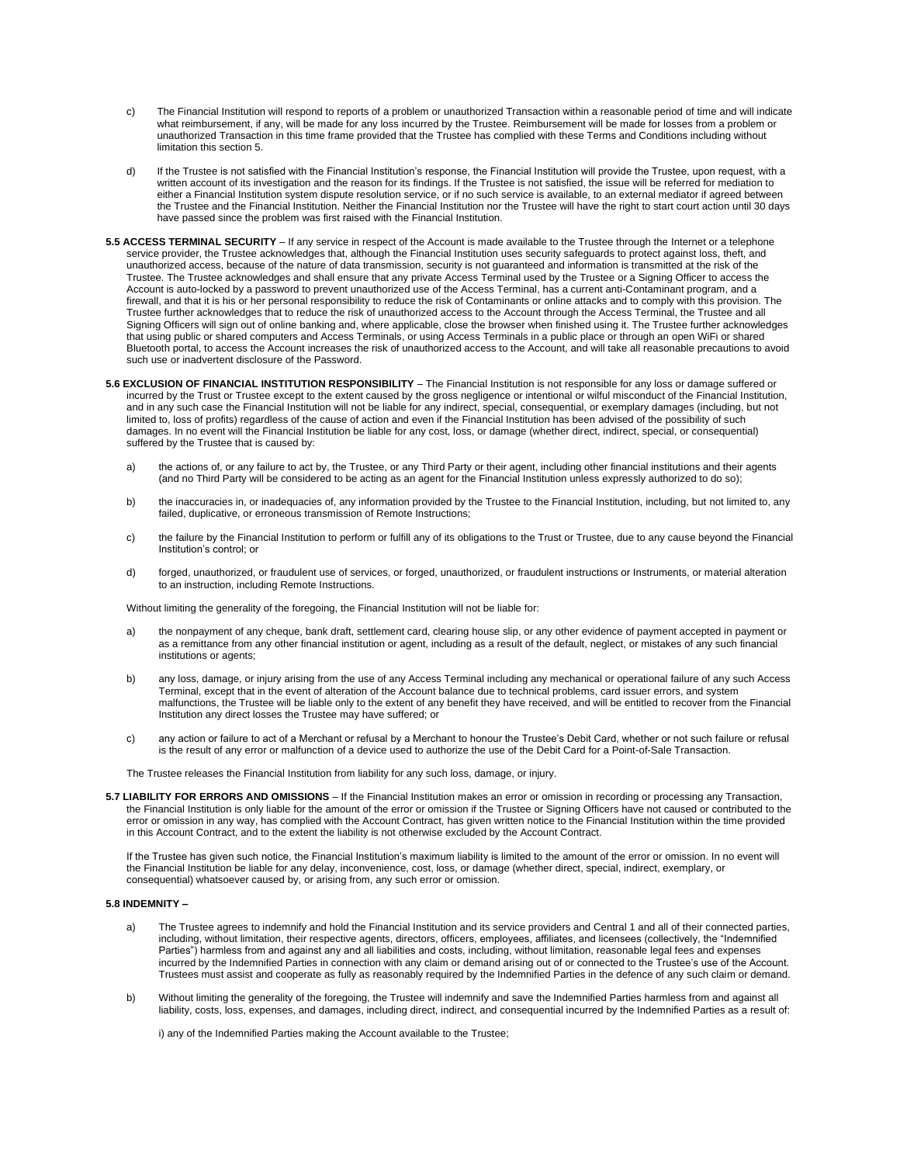- c) The Financial Institution will respond to reports of a problem or unauthorized Transaction within a reasonable period of time and will indicate what reimbursement, if any, will be made for any loss incurred by the Trustee. Reimbursement will be made for losses from a problem or unauthorized Transaction in this time frame provided that the Trustee has complied with these Terms and Conditions including without limitation this section 5.
- d) If the Trustee is not satisfied with the Financial Institution's response, the Financial Institution will provide the Trustee, upon request, with a written account of its investigation and the reason for its findings. If the Trustee is not satisfied, the issue will be referred for mediation to either a Financial Institution system dispute resolution service, or if no such service is available, to an external mediator if agreed between the Trustee and the Financial Institution. Neither the Financial Institution nor the Trustee will have the right to start court action until 30 days have passed since the problem was first raised with the Financial Institution.
- **5.5 ACCESS TERMINAL SECURITY**  If any service in respect of the Account is made available to the Trustee through the Internet or a telephone service provider, the Trustee acknowledges that, although the Financial Institution uses security safeguards to protect against loss, theft, and unauthorized access, because of the nature of data transmission, security is not guaranteed and information is transmitted at the risk of the Trustee. The Trustee acknowledges and shall ensure that any private Access Terminal used by the Trustee or a Signing Officer to access the Account is auto-locked by a password to prevent unauthorized use of the Access Terminal, has a current anti-Contaminant program, and a firewall, and that it is his or her personal responsibility to reduce the risk of Contaminants or online attacks and to comply with this provision. The Trustee further acknowledges that to reduce the risk of unauthorized access to the Account through the Access Terminal, the Trustee and all Signing Officers will sign out of online banking and, where applicable, close the browser when finished using it. The Trustee further acknowledges that using public or shared computers and Access Terminals, or using Access Terminals in a public place or through an open WiFi or shared Bluetooth portal, to access the Account increases the risk of unauthorized access to the Account, and will take all reasonable precautions to avoid such use or inadvertent disclosure of the Password.
- **5.6 EXCLUSION OF FINANCIAL INSTITUTION RESPONSIBILITY**  The Financial Institution is not responsible for any loss or damage suffered or incurred by the Trust or Trustee except to the extent caused by the gross negligence or intentional or wilful misconduct of the Financial Institution, and in any such case the Financial Institution will not be liable for any indirect, special, consequential, or exemplary damages (including, but not limited to, loss of profits) regardless of the cause of action and even if the Financial Institution has been advised of the possibility of such damages. In no event will the Financial Institution be liable for any cost, loss, or damage (whether direct, indirect, special, or consequential) suffered by the Trustee that is caused by:
	- a) the actions of, or any failure to act by, the Trustee, or any Third Party or their agent, including other financial institutions and their agents (and no Third Party will be considered to be acting as an agent for the Financial Institution unless expressly authorized to do so);
	- b) the inaccuracies in, or inadequacies of, any information provided by the Trustee to the Financial Institution, including, but not limited to, any failed, duplicative, or erroneous transmission of Remote Instructions;
	- c) the failure by the Financial Institution to perform or fulfill any of its obligations to the Trust or Trustee, due to any cause beyond the Financial Institution's control; or
	- d) forged, unauthorized, or fraudulent use of services, or forged, unauthorized, or fraudulent instructions or Instruments, or material alteration to an instruction, including Remote Instructions.

Without limiting the generality of the foregoing, the Financial Institution will not be liable for:

- a) the nonpayment of any cheque, bank draft, settlement card, clearing house slip, or any other evidence of payment accepted in payment or as a remittance from any other financial institution or agent, including as a result of the default, neglect, or mistakes of any such financial institutions or agents;
- b) any loss, damage, or injury arising from the use of any Access Terminal including any mechanical or operational failure of any such Access Terminal, except that in the event of alteration of the Account balance due to technical problems, card issuer errors, and system malfunctions, the Trustee will be liable only to the extent of any benefit they have received, and will be entitled to recover from the Financial Institution any direct losses the Trustee may have suffered; or
- c) any action or failure to act of a Merchant or refusal by a Merchant to honour the Trustee's Debit Card, whether or not such failure or refusal is the result of any error or malfunction of a device used to authorize the use of the Debit Card for a Point-of-Sale Transaction.

The Trustee releases the Financial Institution from liability for any such loss, damage, or injury.

**5.7 LIABILITY FOR ERRORS AND OMISSIONS** – If the Financial Institution makes an error or omission in recording or processing any Transaction, the Financial Institution is only liable for the amount of the error or omission if the Trustee or Signing Officers have not caused or contributed to the error or omission in any way, has complied with the Account Contract, has given written notice to the Financial Institution within the time provided in this Account Contract, and to the extent the liability is not otherwise excluded by the Account Contract.

If the Trustee has given such notice, the Financial Institution's maximum liability is limited to the amount of the error or omission. In no event will the Financial Institution be liable for any delay, inconvenience, cost, loss, or damage (whether direct, special, indirect, exemplary, or consequential) whatsoever caused by, or arising from, any such error or omission.

#### **5.8 INDEMNITY –**

- The Trustee agrees to indemnify and hold the Financial Institution and its service providers and Central 1 and all of their connected parties, including, without limitation, their respective agents, directors, officers, employees, affiliates, and licensees (collectively, the "Indemnified Parties") harmless from and against any and all liabilities and costs, including, without limitation, reasonable legal fees and expenses incurred by the Indemnified Parties in connection with any claim or demand arising out of or connected to the Trustee's use of the Account. Trustees must assist and cooperate as fully as reasonably required by the Indemnified Parties in the defence of any such claim or demand.
- b) Without limiting the generality of the foregoing, the Trustee will indemnify and save the Indemnified Parties harmless from and against all liability, costs, loss, expenses, and damages, including direct, indirect, and consequential incurred by the Indemnified Parties as a result of:

i) any of the Indemnified Parties making the Account available to the Trustee;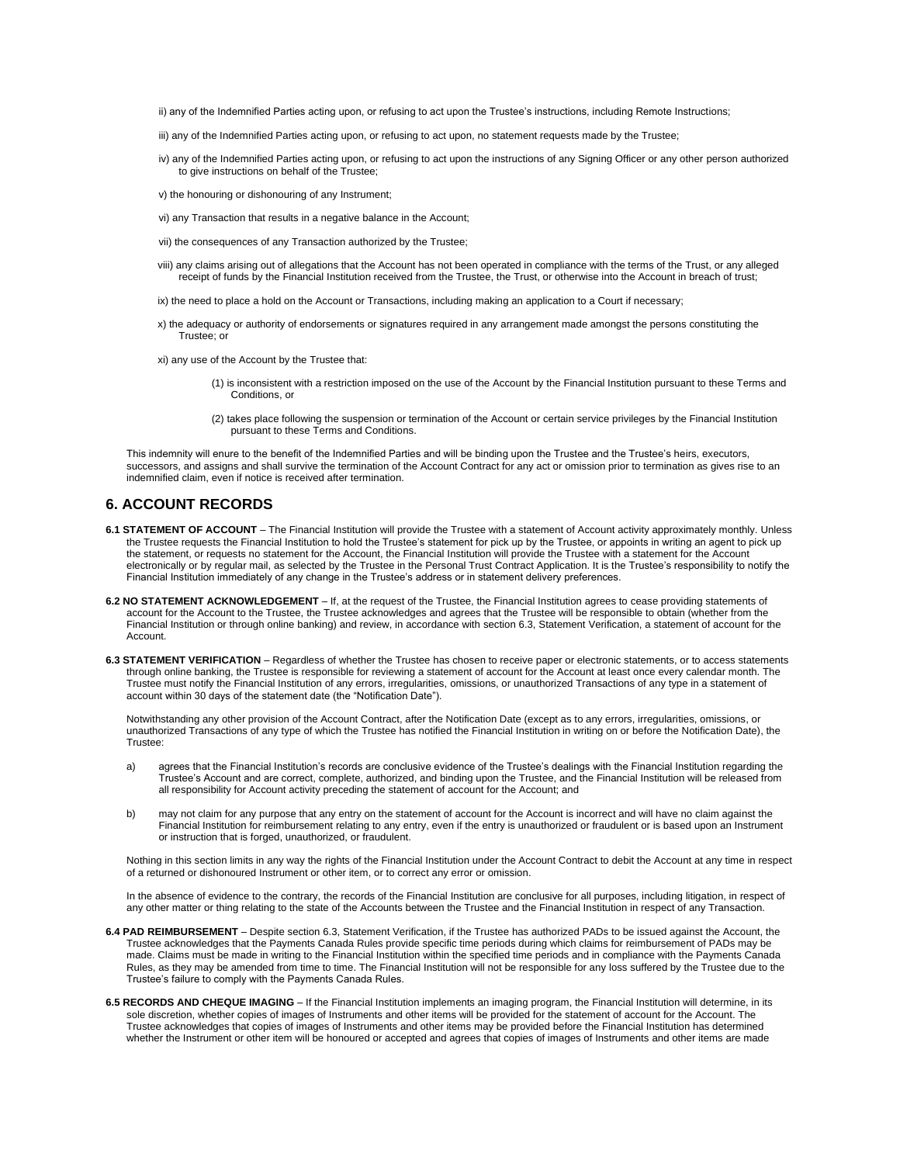ii) any of the Indemnified Parties acting upon, or refusing to act upon the Trustee's instructions, including Remote Instructions;

- iii) any of the Indemnified Parties acting upon, or refusing to act upon, no statement requests made by the Trustee;
- iv) any of the Indemnified Parties acting upon, or refusing to act upon the instructions of any Signing Officer or any other person authorized to give instructions on behalf of the Trustee;
- v) the honouring or dishonouring of any Instrument;
- vi) any Transaction that results in a negative balance in the Account;
- vii) the consequences of any Transaction authorized by the Trustee;
- viii) any claims arising out of allegations that the Account has not been operated in compliance with the terms of the Trust, or any alleged receipt of funds by the Financial Institution received from the Trustee, the Trust, or otherwise into the Account in breach of trust;
- ix) the need to place a hold on the Account or Transactions, including making an application to a Court if necessary;
- x) the adequacy or authority of endorsements or signatures required in any arrangement made amongst the persons constituting the Trustee; or

xi) any use of the Account by the Trustee that:

- (1) is inconsistent with a restriction imposed on the use of the Account by the Financial Institution pursuant to these Terms and Conditions, or
- (2) takes place following the suspension or termination of the Account or certain service privileges by the Financial Institution pursuant to these Terms and Conditions.

This indemnity will enure to the benefit of the Indemnified Parties and will be binding upon the Trustee and the Trustee's heirs, executors, successors, and assigns and shall survive the termination of the Account Contract for any act or omission prior to termination as gives rise to an indemnified claim, even if notice is received after termination.

### **6. ACCOUNT RECORDS**

- **6.1 STATEMENT OF ACCOUNT**  The Financial Institution will provide the Trustee with a statement of Account activity approximately monthly. Unless the Trustee requests the Financial Institution to hold the Trustee's statement for pick up by the Trustee, or appoints in writing an agent to pick up the statement, or requests no statement for the Account, the Financial Institution will provide the Trustee with a statement for the Account electronically or by regular mail, as selected by the Trustee in the Personal Trust Contract Application. It is the Trustee's responsibility to notify the Financial Institution immediately of any change in the Trustee's address or in statement delivery preferences.
- **6.2 NO STATEMENT ACKNOWLEDGEMENT**  If, at the request of the Trustee, the Financial Institution agrees to cease providing statements of account for the Account to the Trustee, the Trustee acknowledges and agrees that the Trustee will be responsible to obtain (whether from the Financial Institution or through online banking) and review, in accordance with section 6.3, Statement Verification, a statement of account for the Account.
- **6.3 STATEMENT VERIFICATION**  Regardless of whether the Trustee has chosen to receive paper or electronic statements, or to access statements through online banking, the Trustee is responsible for reviewing a statement of account for the Account at least once every calendar month. The Trustee must notify the Financial Institution of any errors, irregularities, omissions, or unauthorized Transactions of any type in a statement of account within 30 days of the statement date (the "Notification Date").

Notwithstanding any other provision of the Account Contract, after the Notification Date (except as to any errors, irregularities, omissions, or unauthorized Transactions of any type of which the Trustee has notified the Financial Institution in writing on or before the Notification Date), the Trustee:

- a) agrees that the Financial Institution's records are conclusive evidence of the Trustee's dealings with the Financial Institution regarding the Trustee's Account and are correct, complete, authorized, and binding upon the Trustee, and the Financial Institution will be released from all responsibility for Account activity preceding the statement of account for the Account; and
- b) may not claim for any purpose that any entry on the statement of account for the Account is incorrect and will have no claim against the Financial Institution for reimbursement relating to any entry, even if the entry is unauthorized or fraudulent or is based upon an Instrument or instruction that is forged, unauthorized, or fraudulent.

Nothing in this section limits in any way the rights of the Financial Institution under the Account Contract to debit the Account at any time in respect of a returned or dishonoured Instrument or other item, or to correct any error or omission.

In the absence of evidence to the contrary, the records of the Financial Institution are conclusive for all purposes, including litigation, in respect of any other matter or thing relating to the state of the Accounts between the Trustee and the Financial Institution in respect of any Transaction.

- **6.4 PAD REIMBURSEMENT**  Despite section 6.3, Statement Verification, if the Trustee has authorized PADs to be issued against the Account, the Trustee acknowledges that the Payments Canada Rules provide specific time periods during which claims for reimbursement of PADs may be made. Claims must be made in writing to the Financial Institution within the specified time periods and in compliance with the Payments Canada Rules, as they may be amended from time to time. The Financial Institution will not be responsible for any loss suffered by the Trustee due to the Trustee's failure to comply with the Payments Canada Rules.
- **6.5 RECORDS AND CHEQUE IMAGING**  If the Financial Institution implements an imaging program, the Financial Institution will determine, in its sole discretion, whether copies of images of Instruments and other items will be provided for the statement of account for the Account. The Trustee acknowledges that copies of images of Instruments and other items may be provided before the Financial Institution has determined whether the Instrument or other item will be honoured or accepted and agrees that copies of images of Instruments and other items are made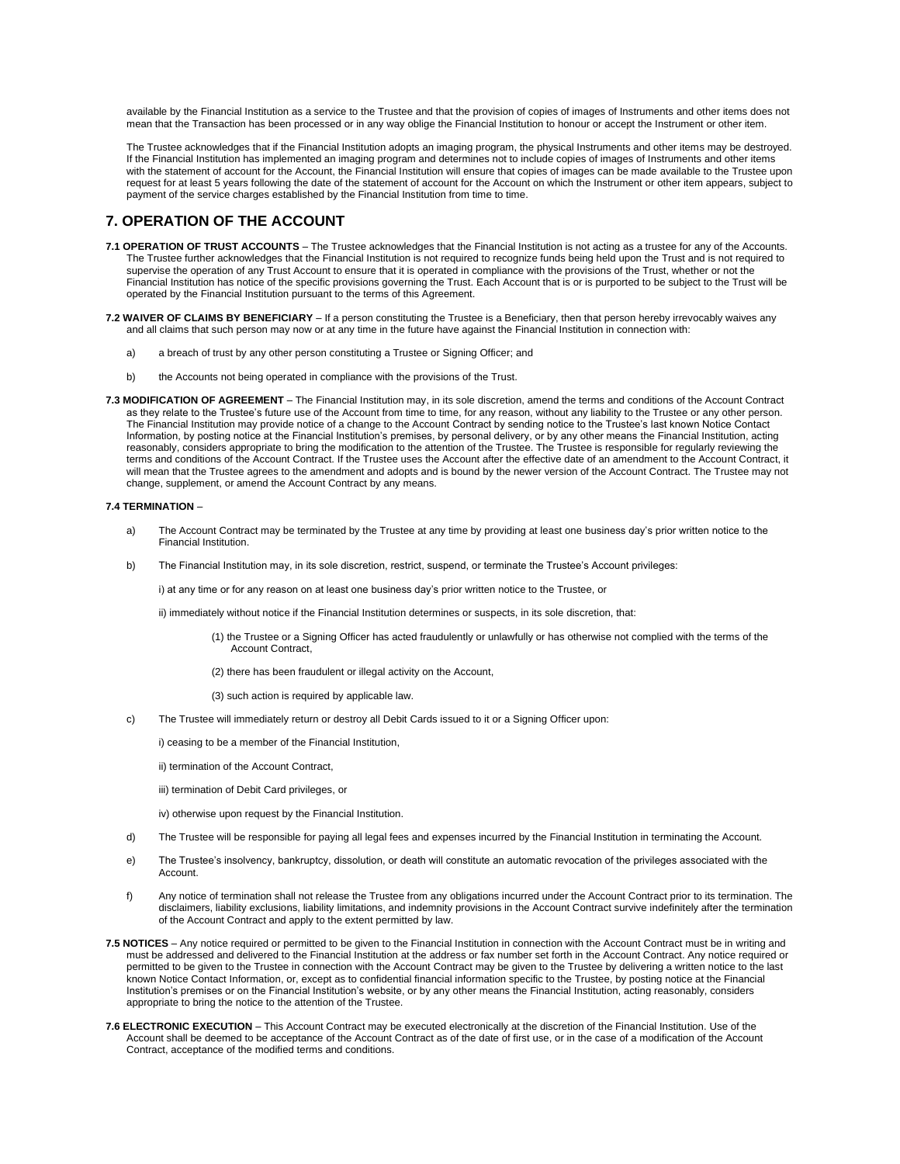available by the Financial Institution as a service to the Trustee and that the provision of copies of images of Instruments and other items does not mean that the Transaction has been processed or in any way oblige the Financial Institution to honour or accept the Instrument or other item.

The Trustee acknowledges that if the Financial Institution adopts an imaging program, the physical Instruments and other items may be destroyed. If the Financial Institution has implemented an imaging program and determines not to include copies of images of Instruments and other items with the statement of account for the Account, the Financial Institution will ensure that copies of images can be made available to the Trustee upon request for at least 5 years following the date of the statement of account for the Account on which the Instrument or other item appears, subject to payment of the service charges established by the Financial Institution from time to time.

# **7. OPERATION OF THE ACCOUNT**

- **7.1 OPERATION OF TRUST ACCOUNTS**  The Trustee acknowledges that the Financial Institution is not acting as a trustee for any of the Accounts. The Trustee further acknowledges that the Financial Institution is not required to recognize funds being held upon the Trust and is not required to supervise the operation of any Trust Account to ensure that it is operated in compliance with the provisions of the Trust, whether or not the Financial Institution has notice of the specific provisions governing the Trust. Each Account that is or is purported to be subject to the Trust will be operated by the Financial Institution pursuant to the terms of this Agreement.
- **7.2 WAIVER OF CLAIMS BY BENEFICIARY**  If a person constituting the Trustee is a Beneficiary, then that person hereby irrevocably waives any and all claims that such person may now or at any time in the future have against the Financial Institution in connection with:
	- a) a breach of trust by any other person constituting a Trustee or Signing Officer; and
	- b) the Accounts not being operated in compliance with the provisions of the Trust.
- **7.3 MODIFICATION OF AGREEMENT**  The Financial Institution may, in its sole discretion, amend the terms and conditions of the Account Contract as they relate to the Trustee's future use of the Account from time to time, for any reason, without any liability to the Trustee or any other person. The Financial Institution may provide notice of a change to the Account Contract by sending notice to the Trustee's last known Notice Contact Information, by posting notice at the Financial Institution's premises, by personal delivery, or by any other means the Financial Institution, acting reasonably, considers appropriate to bring the modification to the attention of the Trustee. The Trustee is responsible for regularly reviewing the terms and conditions of the Account Contract. If the Trustee uses the Account after the effective date of an amendment to the Account Contract, it will mean that the Trustee agrees to the amendment and adopts and is bound by the newer version of the Account Contract. The Trustee may not change, supplement, or amend the Account Contract by any means.

#### **7.4 TERMINATION** –

- a) The Account Contract may be terminated by the Trustee at any time by providing at least one business day's prior written notice to the Financial Institution.
- b) The Financial Institution may, in its sole discretion, restrict, suspend, or terminate the Trustee's Account privileges:

i) at any time or for any reason on at least one business day's prior written notice to the Trustee, or

- ii) immediately without notice if the Financial Institution determines or suspects, in its sole discretion, that:
	- (1) the Trustee or a Signing Officer has acted fraudulently or unlawfully or has otherwise not complied with the terms of the Account Contract,
	- (2) there has been fraudulent or illegal activity on the Account,
	- (3) such action is required by applicable law.
- c) The Trustee will immediately return or destroy all Debit Cards issued to it or a Signing Officer upon:
	- i) ceasing to be a member of the Financial Institution,
	- ii) termination of the Account Contract,
	- iii) termination of Debit Card privileges, or
	- iv) otherwise upon request by the Financial Institution.
- d) The Trustee will be responsible for paying all legal fees and expenses incurred by the Financial Institution in terminating the Account.
- e) The Trustee's insolvency, bankruptcy, dissolution, or death will constitute an automatic revocation of the privileges associated with the Account.
- f) Any notice of termination shall not release the Trustee from any obligations incurred under the Account Contract prior to its termination. The disclaimers, liability exclusions, liability limitations, and indemnity provisions in the Account Contract survive indefinitely after the termination of the Account Contract and apply to the extent permitted by law.
- **7.5 NOTICES**  Any notice required or permitted to be given to the Financial Institution in connection with the Account Contract must be in writing and must be addressed and delivered to the Financial Institution at the address or fax number set forth in the Account Contract. Any notice required or permitted to be given to the Trustee in connection with the Account Contract may be given to the Trustee by delivering a written notice to the last known Notice Contact Information, or, except as to confidential financial information specific to the Trustee, by posting notice at the Financial Institution's premises or on the Financial Institution's website, or by any other means the Financial Institution, acting reasonably, considers appropriate to bring the notice to the attention of the Trustee.
- **7.6 ELECTRONIC EXECUTION**  This Account Contract may be executed electronically at the discretion of the Financial Institution. Use of the Account shall be deemed to be acceptance of the Account Contract as of the date of first use, or in the case of a modification of the Account Contract, acceptance of the modified terms and conditions.